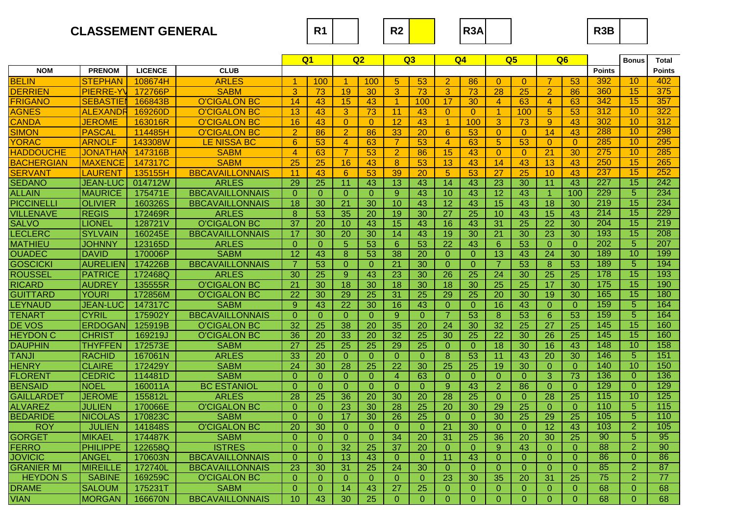



**R3B**

|                   |                  |                |                        |                 | Q <sub>1</sub>  |                 | Q2              |                      | Q3              |                 | Q4              |                      | Q5              |                 | Q <sub>6</sub>  |                 | <b>Bonus</b>    | <b>Total</b>    |
|-------------------|------------------|----------------|------------------------|-----------------|-----------------|-----------------|-----------------|----------------------|-----------------|-----------------|-----------------|----------------------|-----------------|-----------------|-----------------|-----------------|-----------------|-----------------|
| <b>NOM</b>        | <b>PRENOM</b>    | <b>LICENCE</b> | <b>CLUB</b>            |                 |                 |                 |                 |                      |                 |                 |                 |                      |                 |                 |                 | <b>Points</b>   |                 | <b>Points</b>   |
| <b>BELIN</b>      | STEPHAN          | 108674H        | <b>ARLES</b>           | -1              | 100             | -1.             | 100             | 5                    | 53              | 2               | 86              | $\Omega$             | $\Omega$        | 7               | 53              | 392             | 10              | 402             |
| <b>DERRIEN</b>    | <b>PIERRE-YV</b> | 172766P        | <b>SABM</b>            | 3               | $\overline{73}$ | 19              | 30              | 3                    | $\overline{73}$ | 3               | $\overline{73}$ | $\overline{28}$      | $\overline{25}$ | $\overline{2}$  | 86              | 360             | 15              | 375             |
| <b>FRIGANO</b>    | <b>SEBASTIEI</b> | 166843B        | <b>O'CIGALON BC</b>    | 14              | 43              | 15              | 43              | $\blacktriangleleft$ | 100             | 17              | 30              | $\overline{4}$       | 63              | $\overline{4}$  | 63              | 342             | 15              | 357             |
| <b>AGNES</b>      | <b>ALEXANDR</b>  | 169260D        | <b>O'CIGALON BC</b>    | 13              | 43              | 3               | 73              | 11                   | 43              | $\overline{0}$  | $\theta$        | $\blacktriangleleft$ | 100             | 5 <sup>5</sup>  | 53              | 312             | 10              | 322             |
| <b>CANDA</b>      | <b>JEROME</b>    | 163016R        | <b>O'CIGALON BC</b>    | 16              | 43              | $\overline{0}$  | $\overline{0}$  | 12                   | 43              | $\overline{1}$  | 100             | 3                    | 73              | 9 <sup>°</sup>  | 43              | 302             | 10              | 312             |
| <b>SIMON</b>      | <b>PASCAL</b>    | 114485H        | <b>O'CIGALON BC</b>    | $\overline{2}$  | 86              | $\overline{2}$  | 86              | $\overline{33}$      | 20              | $6\phantom{1}6$ | 53              | $\overline{0}$       | $\overline{0}$  | 14              | 43              | 288             | 10              | 298             |
| <b>YORAC</b>      | <b>ARNOLF</b>    | 143308W        | <b>LE NISSA BC</b>     | 6               | 53              | $\overline{4}$  | 63              | $\overline{7}$       | 53              | $\overline{4}$  | 63              | $\overline{5}$       | $\overline{53}$ | $\overline{0}$  | $\Omega$        | 285             | 10              | 295             |
| <b>HADDOUCHE</b>  | JONATHAN         | 147316B        | SABM                   | $\overline{4}$  | 63              | $\overline{7}$  | 53              | $\overline{2}$       | 86              | 15              | 43              | $\overline{0}$       | $\overline{0}$  | $\overline{21}$ | 30              | 275             | 10              | 285             |
| <b>BACHERGIAN</b> | <b>MAXENCE</b>   | 147317C        | <b>SABM</b>            | $\overline{25}$ | 25              | 16              | 43              | $\bf{8}$             | 53              | 13              | 43              | 14                   | 43              | $\overline{13}$ | 43              | 250             | 15              | 265             |
| <b>SERVANT</b>    | <b>LAURENT</b>   | 135155H        | <b>BBCAVAILLONNAIS</b> | 11              | 43              | 6               | 53              | 39                   | 20              | $\sqrt{5}$      | 53              | 27                   | 25              | 10              | 43              | 237             | 15              | 252             |
| <b>SEDANO</b>     | <b>JEAN-LUC</b>  | 014712W        | <b>ARLES</b>           | 29              | 25              | 11              | 43              | 13                   | 43              | 14              | 43              | 23                   | 30              | 11              | 43              | 227             | 15              | 242             |
| <b>ALLAIN</b>     | <b>MAURICE</b>   | 175471E        | <b>BBCAVAILLONNAIS</b> | $\Omega$        | $\theta$        | $\overline{0}$  | $\overline{0}$  | 9                    | 43              | 10              | 43              | $\overline{12}$      | 43              | $\mathbf{1}$    | 100             | 229             | 5               | 234             |
| <b>PICCINELLI</b> | <b>OLIVIER</b>   | 160326S        | <b>BBCAVAILLONNAIS</b> | 18              | 30              | $\overline{21}$ | 30              | 10                   | 43              | $\overline{12}$ | 43              | 15                   | 43              | $\overline{18}$ | $\overline{30}$ | 219             | 15              | 234             |
| <b>VILLENAVE</b>  | <b>REGIS</b>     | 172469R        | <b>ARLES</b>           | 8               | 53              | 35              | 20              | 19                   | 30              | 27              | $\overline{25}$ | 10                   | 43              | 15              | 43              | 214             | 15              | 229             |
| <b>SALVO</b>      | <b>LIONEL</b>    | 128721V        | <b>O'CIGALON BC</b>    | $\overline{37}$ | 20              | 10              | 43              | $\overline{15}$      | 43              | 16              | 43              | 31                   | $\overline{25}$ | $\overline{22}$ | $\overline{30}$ | 204             | $\overline{15}$ | 219             |
| <b>LECLERC</b>    | <b>SYLVAIN</b>   | 160245E        | <b>BBCAVAILLONNAIS</b> | 17              | 30              | 20              | 30              | $\overline{14}$      | 43              | 19              | 30              | 21                   | 30              | $\overline{23}$ | $\overline{30}$ | 193             | $\overline{15}$ | 208             |
| <b>MATHIEU</b>    | <b>JOHNNY</b>    | 123165D        | <b>ARLES</b>           | $\overline{0}$  | $\overline{0}$  | $\overline{5}$  | 53              | $6\phantom{1}$       | 53              | 22              | 43              | $6\phantom{1}$       | 53              | $\overline{O}$  | $\overline{0}$  | 202             | 5               | 207             |
| <b>OUADEC</b>     | <b>DAVID</b>     | 170006P        | <b>SABM</b>            | $\overline{12}$ | 43              | 8               | 53              | $\overline{38}$      | $\overline{20}$ | $\mathbf{0}$    | $\overline{0}$  | $\overline{13}$      | 43              | $\overline{24}$ | $\overline{30}$ | 189             | 10              | 199             |
| <b>GOSCICKI</b>   | <b>AURELIEN</b>  | 174226B        | <b>BBCAVAILLONNAIS</b> |                 | 53              | $\overline{0}$  | $\overline{0}$  | $\overline{21}$      | 30              | $\overline{0}$  | $\overline{0}$  | $\overline{7}$       | $\overline{53}$ | 8               | $\overline{53}$ | 189             | $\overline{5}$  | 194             |
| <b>ROUSSEL</b>    | <b>PATRICE</b>   | 172468Q        | <b>ARLES</b>           | $\overline{30}$ | 25              | 9               | 43              | 23                   | $\overline{30}$ | $\overline{26}$ | $\overline{25}$ | 24                   | $\overline{30}$ | $\overline{25}$ | $\overline{25}$ | 178             | $\overline{15}$ | 193             |
| <b>RICARD</b>     | <b>AUDREY</b>    | 135555R        | <b>O'CIGALON BC</b>    | $\overline{21}$ | $\overline{30}$ | $\overline{18}$ | $\overline{30}$ | $\overline{18}$      | 30              | $\overline{18}$ | $\overline{30}$ | $\overline{25}$      | $\overline{25}$ | $\overline{17}$ | $\overline{30}$ | 175             | 15              | 190             |
| <b>GUITTARD</b>   | YOURI            | 172856M        | <b>O'CIGALON BC</b>    | $\overline{22}$ | $\overline{30}$ | 29              | $\overline{25}$ | $\overline{31}$      | $\overline{25}$ | $\overline{29}$ | $\overline{25}$ | 20                   | $\overline{30}$ | $\overline{19}$ | $\overline{30}$ | 165             | 15              | 180             |
| <b>LEYNAUD</b>    | <b>JEAN-LUC</b>  | 147317C        | <b>SABM</b>            | 9               | 43              | $\overline{22}$ | $\overline{30}$ | $\overline{16}$      | 43              | $\mathbf{0}$    | $\Omega$        | 16                   | 43              | $\overline{0}$  | $\overline{0}$  | 159             | 5               | 164             |
| TENART            | <b>CYRIL</b>     | 175902Y        | <b>BBCAVAILLONNAIS</b> | $\Omega$        | $\Omega$        | $\Omega$        | $\overline{0}$  | $\overline{9}$       | $\overline{0}$  | $\overline{7}$  | $\overline{53}$ | 8                    | $\overline{53}$ | 6               | $\overline{53}$ | 159             | $\overline{5}$  | 164             |
| <b>DE VOS</b>     | <b>ERDOGAN</b>   | 125919B        | <b>O'CIGALON BC</b>    | $\overline{32}$ | $\overline{25}$ | $\overline{38}$ | $\overline{20}$ | $\overline{35}$      | $\overline{20}$ | 24              | $\overline{30}$ | $\overline{32}$      | $\overline{25}$ | $\overline{27}$ | $\overline{25}$ | 145             | 15              | 160             |
| <b>HEYDON C</b>   | <b>CHRIST</b>    | 169219J        | <b>O'CIGALON BC</b>    | 36              | 20              | $\overline{33}$ | 20              | $\overline{32}$      | $\overline{25}$ | $\overline{30}$ | $\overline{25}$ | $\overline{22}$      | $\overline{30}$ | $\overline{26}$ | $\overline{25}$ | 145             | $\overline{15}$ | 160             |
| <b>DAUPHIN</b>    | <b>THYFFEN</b>   | 172573E        | <b>SABM</b>            | 27              | 25              | $\overline{25}$ | 25              | 29                   | $\overline{25}$ | $\mathbf{0}$    | $\Omega$        | 18                   | $\overline{30}$ | 16              | 43              | 148             | $\overline{10}$ | 158             |
| <b>TANJI</b>      | <b>RACHID</b>    | 167061N        | <b>ARLES</b>           | 33              | 20              | $\Omega$        | $\overline{0}$  | $\Omega$             | $\Omega$        | 8               | $\overline{53}$ | 11                   | 43              | 20              | $\overline{30}$ | 146             | 5               | 151             |
| <b>HENRY</b>      | <b>CLAIRE</b>    | 172429Y        | <b>SABM</b>            | 24              | 30              | 28              | 25              | $\overline{22}$      | 30              | $\overline{25}$ | 25              | 19                   | 30              | $\overline{0}$  | $\overline{0}$  | 140             | 10              | 150             |
| <b>FLORENT</b>    | <b>CEDRIC</b>    | 114481D        | <b>SABM</b>            | $\Omega$        | $\overline{0}$  | $\overline{0}$  | $\overline{0}$  | $\overline{4}$       | 63              | $\overline{0}$  | $\mathbf{0}$    | $\overline{0}$       | $\overline{0}$  | 3               | 73              | 136             | $\Omega$        | 136             |
| <b>BENSAID</b>    | <b>NOEL</b>      | 160011A        | <b>BC ESTANIOL</b>     | $\overline{0}$  | $\theta$        | $\overline{0}$  | $\overline{0}$  | $\overline{O}$       | $\overline{0}$  | $9\,$           | 43              | $\overline{2}$       | $\overline{86}$ | $\overline{0}$  | $\overline{0}$  | 129             | $\Omega$        | 129             |
| <b>GAILLARDET</b> | <b>JEROME</b>    | 155812L        | <b>ARLES</b>           | 28              | $\overline{25}$ | 36              | 20              | $\overline{30}$      | 20              | 28              | $\overline{25}$ | $\overline{0}$       | $\overline{0}$  | 28              | $\overline{25}$ | 115             | $\overline{10}$ | 125             |
| <b>ALVAREZ</b>    | <b>JULIEN</b>    | 170066E        | <b>O'CIGALON BC</b>    | $\Omega$        | $\overline{0}$  | 23              | 30              | 28                   | 25              | 20              | 30              | 29                   | 25              | $\overline{O}$  | $\overline{0}$  | 110             | $\overline{5}$  | 115             |
| <b>BEDARIDE</b>   | <b>NICOLAS</b>   | 170823C        | <b>SABM</b>            | $\overline{0}$  | $\overline{0}$  | 17              | 30              | $\overline{26}$      | 25              | $\mathbf{0}$    | $\mathbf{0}$    | 30                   | 25              | 29              | $\overline{25}$ | 105             | $\overline{5}$  | 110             |
| <b>ROY</b>        | <b>JULIEN</b>    | 141848S        | <b>O'CIGALON BC</b>    | 20              | 30              | $\Omega$        | $\overline{0}$  | $\overline{0}$       | $\Omega$        | 21              | 30              | $\overline{0}$       | $\overline{0}$  | 12              | 43              | 103             | $\overline{2}$  | 105             |
| <b>GORGET</b>     | <b>MIKAEL</b>    | 174487K        | <b>SABM</b>            | $\Omega$        | $\theta$        | $\theta$        | $\overline{0}$  | $\overline{34}$      | 20              | $\overline{31}$ | $\overline{25}$ | $\overline{36}$      | $\overline{20}$ | $\overline{30}$ | $\overline{25}$ | 90              | 5               | $\overline{95}$ |
| <b>FERRO</b>      | <b>PHILIPPE</b>  | 122658Q        | <b>ISTRES</b>          | $\overline{0}$  | $\overline{0}$  | $\overline{32}$ | $\overline{25}$ | $\overline{37}$      | $\overline{20}$ | $\mathbf{0}$    | $\overline{0}$  | 9                    | 43              | $\overline{0}$  | $\overline{0}$  | 88              | $\overline{2}$  | $\overline{90}$ |
| <b>JOVICIC</b>    | ANGEL            | 170603N        | <b>BBCAVAILLONNAIS</b> | $\overline{0}$  | $\overline{0}$  | $\overline{13}$ | 43              | $\overline{0}$       | $\overline{0}$  | $\overline{11}$ | 43              | $\overline{0}$       | $\overline{0}$  | $\overline{0}$  | $\overline{0}$  | 86              | $\Omega$        | 86              |
| <b>GRANIER MI</b> | <b>MIREILLE</b>  | 172740L        | <b>BBCAVAILLONNAIS</b> | 23              | $\overline{30}$ | $\overline{31}$ | 25              | $\overline{24}$      | $\overline{30}$ | $\theta$        | $\overline{0}$  | $\overline{0}$       | $\overline{0}$  | $\overline{0}$  | $\Omega$        | 85              | $\overline{2}$  | 87              |
| <b>HEYDON S</b>   | <b>SABINE</b>    | 169259C        | <b>O'CIGALON BC</b>    | $\Omega$        | $\Omega$        | $\Omega$        | $\Omega$        | $\Omega$             | $\Omega$        | 23              | $\overline{30}$ | $\overline{35}$      | $\overline{20}$ | $\overline{31}$ | $\overline{25}$ | $\overline{75}$ | $\overline{2}$  | $\overline{77}$ |
| <b>DRAME</b>      | <b>SALOUM</b>    | 175231T        | SABM                   | $\Omega$        | $\Omega$        | 14              | 43              | $\overline{27}$      | $\overline{25}$ | $\Omega$        | $\Omega$        | $\Omega$             | $\Omega$        | $\Omega$        | $\Omega$        | 68              | $\Omega$        | 68              |
| <b>VIAN</b>       | <b>MORGAN</b>    | 166670N        | <b>BBCAVAILLONNAIS</b> | 10              | 43              | 30              | $\overline{25}$ | $\Omega$             | $\Omega$        | $\Omega$        | $\Omega$        | $\Omega$             | $\Omega$        | $\Omega$        | $\Omega$        | 68              | $\Omega$        | 68              |
|                   |                  |                |                        |                 |                 |                 |                 |                      |                 |                 |                 |                      |                 |                 |                 |                 |                 |                 |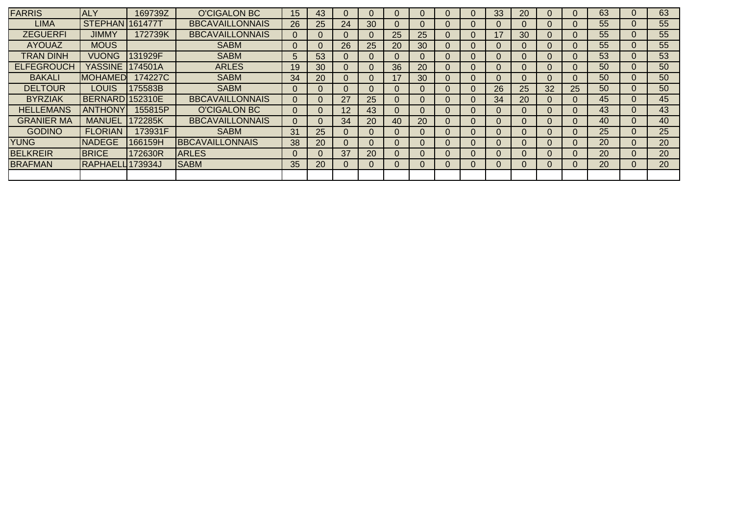| <b>FARRIS</b>     | <b>ALY</b>             | 169739Z | <b>O'CIGALON BC</b>    | 15 <sub>1</sub> | 43       |    |          |          |    |              | 33 | 20       |          |    | 63 | 0        | 63 |
|-------------------|------------------------|---------|------------------------|-----------------|----------|----|----------|----------|----|--------------|----|----------|----------|----|----|----------|----|
| LIMA              | <b>STEPHAN 161477T</b> |         | <b>BBCAVAILLONNAIS</b> | 26              | 25       | 24 | 30       | 0        |    |              |    |          | 0        |    | 55 | 0        | 55 |
| <b>ZEGUERFI</b>   | <b>JIMMY</b>           | 172739K | <b>BBCAVAILLONNAIS</b> |                 | $\Omega$ |    | $\Omega$ | 25       | 25 |              | 17 | 30       | $\Omega$ |    | 55 | 0        | 55 |
| <b>AYOUAZ</b>     | <b>MOUS</b>            |         | <b>SABM</b>            |                 |          | 26 | 25       | 20       | 30 |              |    |          | 0        |    | 55 | 0        | 55 |
| TRAN DINH         | <b>VUONG</b>           | 131929F | <b>SABM</b>            | 5               | 53       | O  | O        | $\Omega$ | 0  | U            | U  |          | 0        |    | 53 | 0        | 53 |
| <b>ELFEGROUCH</b> | <b>YASSINE</b>         | 174501A | <b>ARLES</b>           | 19              | 30       | O  | $\Omega$ | 36       | 20 | $\cup$       | U  | $\Omega$ | $\Omega$ | 0  | 50 | $\Omega$ | 50 |
| <b>BAKALI</b>     | <b>IMOHAMED</b>        | 174227C | <b>SABM</b>            | 34              | 20       | O  |          | 17       | 30 |              | U  |          | $\Omega$ |    | 50 | 0        | 50 |
| <b>DELTOUR</b>    | <b>LOUIS</b>           | 175583B | <b>SABM</b>            |                 | U        |    |          | $\Omega$ | 0  |              | 26 | 25       | 32       | 25 | 50 | $\Omega$ | 50 |
| <b>BYRZIAK</b>    | BERNARD 152310E        |         | <b>BBCAVAILLONNAIS</b> |                 | U        | 27 | 25       | $\Omega$ | O  | $\mathbf{U}$ | 34 | 20       | $\Omega$ | U  | 45 | 0        | 45 |
| <b>HELLEMANS</b>  | <b>ANTHONY</b>         | 155815P | O'CIGALON BC           |                 |          | 12 | 43       | 0        |    |              |    |          | 0        |    | 43 | 0        | 43 |
| <b>GRANIER MA</b> | <b>MANUEL</b>          | 172285K | <b>BBCAVAILLONNAIS</b> |                 |          | 34 | 20       | 40       | 20 | U            | U  | $\Omega$ | 0        | 0  | 40 | $\Omega$ | 40 |
| <b>GODINO</b>     | <b>FLORIAN</b>         | 173931F | <b>SABM</b>            | 31              | 25       | Ü  | $\Omega$ | $\Omega$ | O  | $\cup$       | U  | $\Omega$ | $\Omega$ | U  | 25 | 0        | 25 |
| <b>YUNG</b>       | <b>INADEGE</b>         | 166159H | <b>BBCAVAILLONNAIS</b> | 38              | 20       |    |          | 0        |    |              |    |          | 0        |    | 20 | 0        | 20 |
| <b>BELKREIR</b>   | <b>BRICE</b>           | 172630R | <b>ARLES</b>           |                 |          | 37 | 20       | $\Omega$ | U  | U            | U  | $\Omega$ | $\Omega$ |    | 20 | $\Omega$ | 20 |
| <b>BRAFMAN</b>    | RAPHAELL 173934J       |         | <b>SABM</b>            | 35              | 20       | 0  | $\Omega$ | 0        | U  | U            | U  | $\Omega$ | $\Omega$ | U  | 20 | 0        | 20 |
|                   |                        |         |                        |                 |          |    |          |          |    |              |    |          |          |    |    |          |    |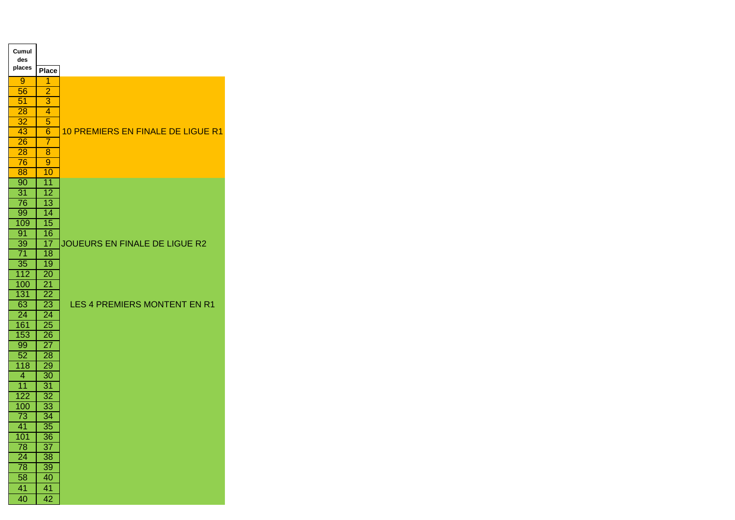| Cumul<br>des     |                 |                                          |
|------------------|-----------------|------------------------------------------|
| places           | <b>Place</b>    |                                          |
| 9                | 1               |                                          |
| 56               | $\overline{2}$  |                                          |
| 51               | 3               |                                          |
| 28               | 4               |                                          |
| 32               | 5               |                                          |
| 43               | 6               | <b>10 PREMIERS EN FINALE DE LIGUE R1</b> |
| 26               | 7               |                                          |
| 28               | 8               |                                          |
| 76               | $\overline{9}$  |                                          |
| 88               | 10              |                                          |
| 90               | $\overline{11}$ |                                          |
| $\overline{31}$  | $\overline{12}$ |                                          |
| 76               | $\overline{13}$ |                                          |
| 99               | 14              |                                          |
| 109              | $\overline{15}$ |                                          |
| 91               | 16              |                                          |
| 39               | 17              | JOUEURS EN FINALE DE LIGUE R2            |
| 71               | 18              |                                          |
| 35               | 19              |                                          |
| 112              | 20              |                                          |
| 100              | $\overline{21}$ |                                          |
| 131              | 22              |                                          |
| 63               | 23              | LES 4 PREMIERS MONTENT EN R1             |
| 24               | 24              |                                          |
| 161              | $\overline{25}$ |                                          |
| 153              | 26              |                                          |
| 99               | $\overline{27}$ |                                          |
| 52               | 28              |                                          |
| 118              | 29              |                                          |
| 4                | 30              |                                          |
| $\overline{11}$  | 31              |                                          |
| 122              | 32              |                                          |
| 100              | 33              |                                          |
| 73               | 34              |                                          |
| 41               | $\overline{35}$ |                                          |
| $\overline{101}$ | $\overline{36}$ |                                          |
| 78               | $\overline{37}$ |                                          |
| 24               | $\overline{38}$ |                                          |
| $\overline{78}$  | 39              |                                          |
| $\overline{58}$  | 40              |                                          |
| 41               | 41              |                                          |
| 40               | 42              |                                          |